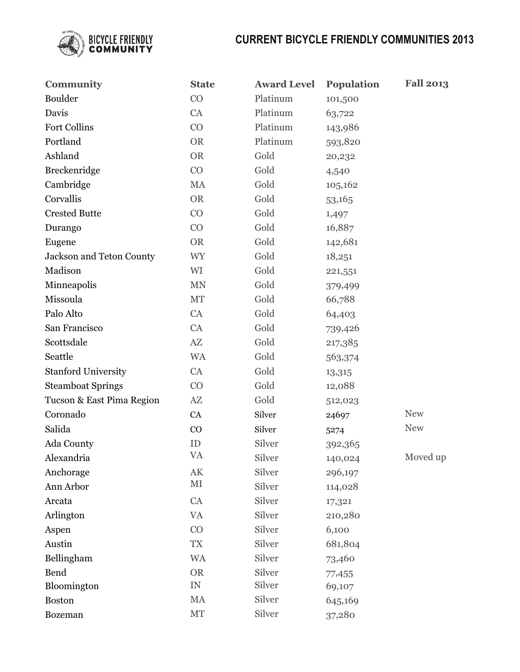

| Community                  | <b>State</b>           | <b>Award Level</b> | <b>Population</b> | <b>Fall 2013</b> |
|----------------------------|------------------------|--------------------|-------------------|------------------|
| Boulder                    | CO                     | Platinum           | 101,500           |                  |
| Davis                      | CA                     | Platinum           | 63,722            |                  |
| <b>Fort Collins</b>        | CO                     | Platinum           | 143,986           |                  |
| Portland                   | <b>OR</b>              | Platinum           | 593,820           |                  |
| Ashland                    | <b>OR</b>              | Gold               | 20,232            |                  |
| Breckenridge               | CO                     | Gold               | 4,540             |                  |
| Cambridge                  | MA                     | Gold               | 105,162           |                  |
| Corvallis                  | <b>OR</b>              | Gold               | 53,165            |                  |
| <b>Crested Butte</b>       | CO                     | Gold               | 1,497             |                  |
| Durango                    | CO                     | Gold               | 16,887            |                  |
| Eugene                     | <b>OR</b>              | Gold               | 142,681           |                  |
| Jackson and Teton County   | <b>WY</b>              | Gold               | 18,251            |                  |
| Madison                    | WI                     | Gold               | 221,551           |                  |
| Minneapolis                | $\mbox{MN}$            | Gold               | 379,499           |                  |
| Missoula                   | MT                     | Gold               | 66,788            |                  |
| Palo Alto                  | CA                     | Gold               | 64,403            |                  |
| San Francisco              | CA                     | Gold               | 739,426           |                  |
| Scottsdale                 | $\mathbf{A}\mathbf{Z}$ | Gold               | 217,385           |                  |
| Seattle                    | <b>WA</b>              | Gold               | 563,374           |                  |
| <b>Stanford University</b> | CA                     | Gold               | 13,315            |                  |
| <b>Steamboat Springs</b>   | CO                     | Gold               | 12,088            |                  |
| Tucson & East Pima Region  | $\mathbf{A}\mathbf{Z}$ | Gold               | 512,023           |                  |
| Coronado                   | CA                     | Silver             | 24697             | <b>New</b>       |
| Salida                     | CO                     | Silver             | 5274              | <b>New</b>       |
| Ada County                 | ID                     | Silver             | 392,365           |                  |
| Alexandria                 | <b>VA</b>              | Silver             | 140,024           | Moved up         |
| Anchorage                  | AK                     | Silver             | 296,197           |                  |
| Ann Arbor                  | $\rm MI$               | Silver             | 114,028           |                  |
| Arcata                     | CA                     | Silver             | 17,321            |                  |
| Arlington                  | <b>VA</b>              | Silver             | 210,280           |                  |
| Aspen                      | CO                     | Silver             | 6,100             |                  |
| Austin                     | <b>TX</b>              | Silver             | 681,804           |                  |
| Bellingham                 | <b>WA</b>              | Silver             | 73,460            |                  |
| <b>Bend</b>                | <b>OR</b>              | Silver             | 77,455            |                  |
| Bloomington                | ${\rm IN}$             | Silver             | 69,107            |                  |
| <b>Boston</b>              | MA                     | Silver             | 645,169           |                  |
| Bozeman                    | MT                     | Silver             | 37,280            |                  |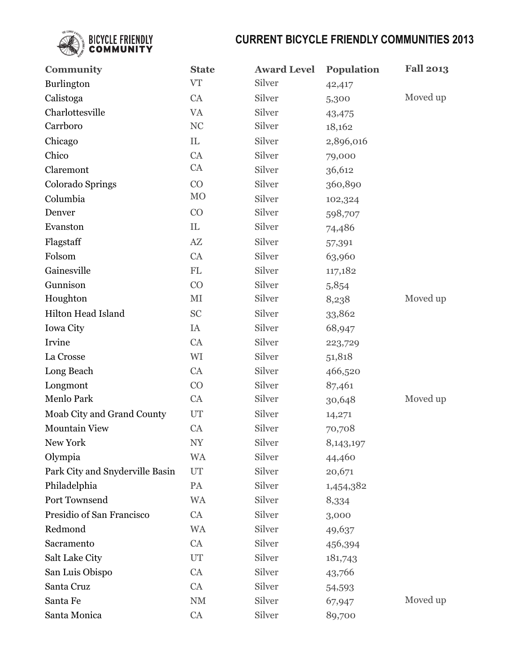

| Community                       | <b>State</b>             | <b>Award Level</b> | <b>Population</b> | <b>Fall 2013</b> |
|---------------------------------|--------------------------|--------------------|-------------------|------------------|
| Burlington                      | <b>VT</b>                | Silver             | 42,417            |                  |
| Calistoga                       | CA                       | Silver             | 5,300             | Moved up         |
| Charlottesville                 | <b>VA</b>                | Silver             | 43,475            |                  |
| Carrboro                        | NC                       | Silver             | 18,162            |                  |
| Chicago                         | IL                       | Silver             | 2,896,016         |                  |
| Chico                           | CA                       | Silver             | 79,000            |                  |
| Claremont                       | CA                       | Silver             | 36,612            |                  |
| Colorado Springs                | CO                       | Silver             | 360,890           |                  |
| Columbia                        | M <sub>O</sub>           | Silver             | 102,324           |                  |
| Denver                          | CO                       | Silver             | 598,707           |                  |
| Evanston                        | IL                       | Silver             | 74,486            |                  |
| Flagstaff                       | $\mathbf{A}\mathbf{Z}$   | Silver             | 57,391            |                  |
| Folsom                          | CA                       | Silver             | 63,960            |                  |
| Gainesville                     | FL                       | Silver             | 117,182           |                  |
| Gunnison                        | CO                       | Silver             | 5,854             |                  |
| Houghton                        | MI                       | Silver             | 8,238             | Moved up         |
| Hilton Head Island              | <b>SC</b>                | Silver             | 33,862            |                  |
| <b>Iowa City</b>                | IA                       | Silver             | 68,947            |                  |
| Irvine                          | CA                       | Silver             | 223,729           |                  |
| La Crosse                       | WI                       | Silver             | 51,818            |                  |
| Long Beach                      | CA                       | Silver             | 466,520           |                  |
| Longmont                        | CO                       | Silver             | 87,461            |                  |
| Menlo Park                      | <b>CA</b>                | Silver             | 30,648            | Moved up         |
| Moab City and Grand County      | UT                       | Silver             | 14,271            |                  |
| <b>Mountain View</b>            | CA                       | Silver             | 70,708            |                  |
| New York                        | $\ensuremath{\text{NY}}$ | Silver             | 8,143,197         |                  |
| Olympia                         | <b>WA</b>                | Silver             | 44,460            |                  |
| Park City and Snyderville Basin | UT                       | Silver             | 20,671            |                  |
| Philadelphia                    | PA                       | Silver             | 1,454,382         |                  |
| Port Townsend                   | <b>WA</b>                | Silver             | 8,334             |                  |
| Presidio of San Francisco       | CA                       | Silver             | 3,000             |                  |
| Redmond                         | <b>WA</b>                | Silver             | 49,637            |                  |
| Sacramento                      | CA                       | Silver             | 456,394           |                  |
| Salt Lake City                  | UT                       | Silver             | 181,743           |                  |
| San Luis Obispo                 | CA                       | Silver             | 43,766            |                  |
| Santa Cruz                      | CA                       | Silver             | 54,593            |                  |
| Santa Fe                        | $\mathrm{NM}$            | Silver             | 67,947            | Moved up         |
| Santa Monica                    | CA                       | Silver             | 89,700            |                  |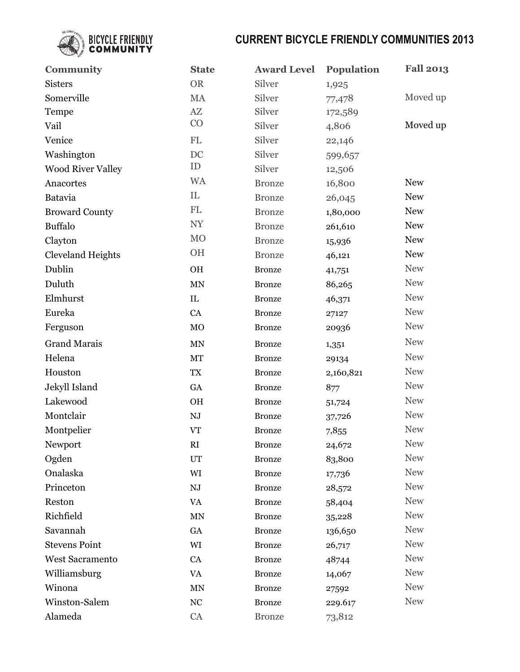

| <b>Community</b>         | <b>State</b>             | <b>Award Level</b> | Population | <b>Fall 2013</b> |
|--------------------------|--------------------------|--------------------|------------|------------------|
| <b>Sisters</b>           | <b>OR</b>                | Silver             | 1,925      |                  |
| Somerville               | MA                       | Silver             | 77,478     | Moved up         |
| Tempe                    | $\mathbf{A}\mathbf{Z}$   | Silver             | 172,589    |                  |
| Vail                     | CO                       | Silver             | 4,806      | Moved up         |
| Venice                   | $\mathbf{FL}$            | Silver             | 22,146     |                  |
| Washington               | DC                       | Silver             | 599,657    |                  |
| <b>Wood River Valley</b> | ID                       | Silver             | 12,506     |                  |
| Anacortes                | <b>WA</b>                | <b>Bronze</b>      | 16,800     | <b>New</b>       |
| Batavia                  | IL                       | <b>Bronze</b>      | 26,045     | <b>New</b>       |
| <b>Broward County</b>    | $\mathbf{FL}$            | <b>Bronze</b>      | 1,80,000   | <b>New</b>       |
| <b>Buffalo</b>           | $\ensuremath{\text{NY}}$ | <b>Bronze</b>      | 261,610    | <b>New</b>       |
| Clayton                  | MO                       | <b>Bronze</b>      | 15,936     | <b>New</b>       |
| <b>Cleveland Heights</b> | OH                       | <b>Bronze</b>      | 46,121     | <b>New</b>       |
| Dublin                   | OH                       | <b>Bronze</b>      | 41,751     | <b>New</b>       |
| Duluth                   | $\mbox{MN}$              | <b>Bronze</b>      | 86,265     | <b>New</b>       |
| Elmhurst                 | $\rm IL$                 | <b>Bronze</b>      | 46,371     | <b>New</b>       |
| Eureka                   | CA                       | <b>Bronze</b>      | 27127      | <b>New</b>       |
| Ferguson                 | MO                       | <b>Bronze</b>      | 20936      | <b>New</b>       |
| <b>Grand Marais</b>      | $\mbox{MN}$              | <b>Bronze</b>      | 1,351      | <b>New</b>       |
| Helena                   | MT                       | <b>Bronze</b>      | 29134      | <b>New</b>       |
| Houston                  | TX                       | <b>Bronze</b>      | 2,160,821  | <b>New</b>       |
| Jekyll Island            | GA                       | <b>Bronze</b>      | 877        | <b>New</b>       |
| Lakewood                 | $\rm OH$                 | <b>Bronze</b>      | 51,724     | <b>New</b>       |
| Montclair                | ${\rm N J}$              | <b>Bronze</b>      | 37,726     | <b>New</b>       |
| Montpelier               | <b>VT</b>                | <b>Bronze</b>      | 7,855      | <b>New</b>       |
| Newport                  | RI                       | <b>Bronze</b>      | 24,672     | <b>New</b>       |
| Ogden                    | <b>UT</b>                | <b>Bronze</b>      | 83,800     | <b>New</b>       |
| Onalaska                 | WI                       | <b>Bronze</b>      | 17,736     | <b>New</b>       |
| Princeton                | ${\rm N J}$              | <b>Bronze</b>      | 28,572     | <b>New</b>       |
| Reston                   | <b>VA</b>                | <b>Bronze</b>      | 58,404     | <b>New</b>       |
| Richfield                | $\mbox{MN}$              | <b>Bronze</b>      | 35,228     | <b>New</b>       |
| Savannah                 | GA                       | <b>Bronze</b>      | 136,650    | <b>New</b>       |
| <b>Stevens Point</b>     | WI                       | <b>Bronze</b>      | 26,717     | <b>New</b>       |
| <b>West Sacramento</b>   | CA                       | <b>Bronze</b>      | 48744      | <b>New</b>       |
| Williamsburg             | $\mathbf{V}\mathbf{A}$   | <b>Bronze</b>      | 14,067     | <b>New</b>       |
| Winona                   | $\mbox{MN}$              | <b>Bronze</b>      | 27592      | <b>New</b>       |
| Winston-Salem            | $\rm NC$                 | <b>Bronze</b>      | 229.617    | <b>New</b>       |
| Alameda                  | CA                       | <b>Bronze</b>      | 73,812     |                  |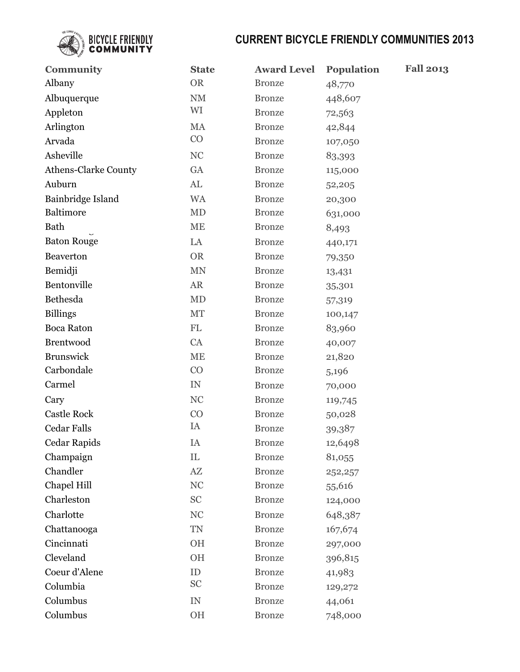

| <b>Community</b>            | <b>State</b>               | <b>Award Level</b> | <b>Fall 2013</b><br>Population |
|-----------------------------|----------------------------|--------------------|--------------------------------|
| Albany                      | <b>OR</b>                  | <b>Bronze</b>      | 48,770                         |
| Albuquerque                 | $\mathrm{NM}$              | <b>Bronze</b>      | 448,607                        |
| Appleton                    | WI                         | <b>Bronze</b>      | 72,563                         |
| Arlington                   | MA                         | <b>Bronze</b>      | 42,844                         |
| Arvada                      | CO                         | <b>Bronze</b>      | 107,050                        |
| Asheville                   | <b>NC</b>                  | <b>Bronze</b>      | 83,393                         |
| <b>Athens-Clarke County</b> | GA                         | <b>Bronze</b>      | 115,000                        |
| Auburn                      | $\mathrm{AL}$              | <b>Bronze</b>      | 52,205                         |
| Bainbridge Island           | <b>WA</b>                  | <b>Bronze</b>      | 20,300                         |
| Baltimore                   | MD                         | <b>Bronze</b>      | 631,000                        |
| Bath                        | <b>ME</b>                  | <b>Bronze</b>      | 8,493                          |
| <b>Baton Rouge</b>          | LA                         | <b>Bronze</b>      | 440,171                        |
| Beaverton                   | <b>OR</b>                  | <b>Bronze</b>      | 79,350                         |
| Bemidji                     | <b>MN</b>                  | <b>Bronze</b>      | 13,431                         |
| Bentonville                 | AR                         | <b>Bronze</b>      | 35,301                         |
| Bethesda                    | MD                         | <b>Bronze</b>      | 57,319                         |
| <b>Billings</b>             | MT                         | <b>Bronze</b>      | 100,147                        |
| <b>Boca Raton</b>           | $\mathop{\rm FL}\nolimits$ | <b>Bronze</b>      | 83,960                         |
| <b>Brentwood</b>            | CA                         | <b>Bronze</b>      | 40,007                         |
| <b>Brunswick</b>            | <b>ME</b>                  | <b>Bronze</b>      | 21,820                         |
| Carbondale                  | CO                         | <b>Bronze</b>      | 5,196                          |
| Carmel                      | $\ensuremath{\text{IN}}$   | <b>Bronze</b>      | 70,000                         |
| Cary                        | NC                         | <b>Bronze</b>      | 119,745                        |
| <b>Castle Rock</b>          | CO                         | <b>Bronze</b>      | 50,028                         |
| <b>Cedar Falls</b>          | IA                         | <b>Bronze</b>      | 39,387                         |
| Cedar Rapids                | IA                         | <b>Bronze</b>      | 12,6498                        |
| Champaign                   | IL                         | <b>Bronze</b>      | 81,055                         |
| Chandler                    | $\mathbf{A}\mathbf{Z}$     | <b>Bronze</b>      | 252,257                        |
| Chapel Hill                 | NC                         | <b>Bronze</b>      | 55,616                         |
| Charleston                  | <b>SC</b>                  | <b>Bronze</b>      | 124,000                        |
| Charlotte                   | NC                         | <b>Bronze</b>      | 648,387                        |
| Chattanooga                 | TN                         | <b>Bronze</b>      | 167,674                        |
| Cincinnati                  | OH                         | <b>Bronze</b>      | 297,000                        |
| Cleveland                   | <b>OH</b>                  | <b>Bronze</b>      | 396,815                        |
| Coeur d'Alene               | ID                         | <b>Bronze</b>      | 41,983                         |
| Columbia                    | <b>SC</b>                  | <b>Bronze</b>      | 129,272                        |
| Columbus                    | ${\rm IN}$                 | <b>Bronze</b>      | 44,061                         |
| Columbus                    | OH                         | <b>Bronze</b>      | 748,000                        |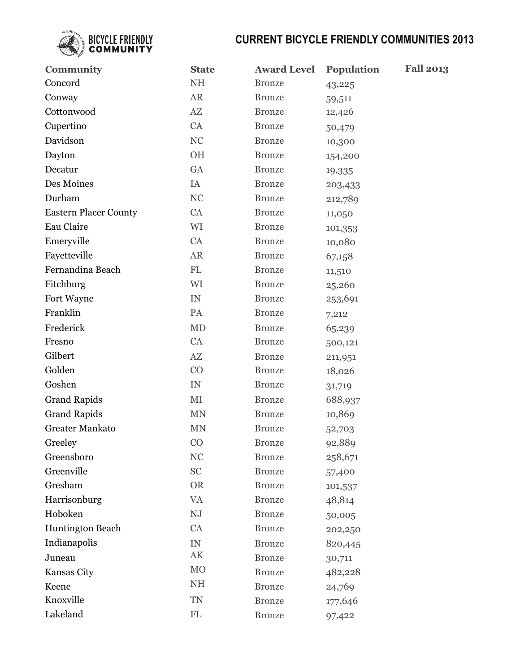

| <b>Community</b>             | <b>State</b>               | <b>Award Level</b> | <b>Fall 2013</b><br><b>Population</b> |
|------------------------------|----------------------------|--------------------|---------------------------------------|
| Concord                      | $NH$                       | <b>Bronze</b>      | 43,225                                |
| Conway                       | <b>AR</b>                  | <b>Bronze</b>      | 59,511                                |
| Cottonwood                   | $\mathbf{A}\mathbf{Z}$     | <b>Bronze</b>      | 12,426                                |
| Cupertino                    | CA                         | <b>Bronze</b>      | 50,479                                |
| Davidson                     | $\rm NC$                   | <b>Bronze</b>      | 10,300                                |
| Dayton                       | OH                         | <b>Bronze</b>      | 154,200                               |
| Decatur                      | GA                         | <b>Bronze</b>      | 19,335                                |
| Des Moines                   | IA                         | <b>Bronze</b>      | 203,433                               |
| Durham                       | $\rm NC$                   | <b>Bronze</b>      | 212,789                               |
| <b>Eastern Placer County</b> | CA                         | <b>Bronze</b>      | 11,050                                |
| Eau Claire                   | WI                         | <b>Bronze</b>      | 101,353                               |
| Emeryville                   | CA                         | <b>Bronze</b>      | 10,080                                |
| Fayetteville                 | ${\sf AR}$                 | <b>Bronze</b>      | 67,158                                |
| Fernandina Beach             | FL                         | <b>Bronze</b>      | 11,510                                |
| Fitchburg                    | WI                         | <b>Bronze</b>      | 25,260                                |
| Fort Wayne                   | IN                         | <b>Bronze</b>      | 253,691                               |
| Franklin                     | PA                         | <b>Bronze</b>      | 7,212                                 |
| Frederick                    | <b>MD</b>                  | <b>Bronze</b>      | 65,239                                |
| Fresno                       | CA                         | <b>Bronze</b>      | 500,121                               |
| Gilbert                      | $\mathbf{A}\mathbf{Z}$     | <b>Bronze</b>      | 211,951                               |
| Golden                       | CO                         | <b>Bronze</b>      | 18,026                                |
| Goshen                       | IN                         | <b>Bronze</b>      | 31,719                                |
| <b>Grand Rapids</b>          | $\rm MI$                   | <b>Bronze</b>      | 688,937                               |
| <b>Grand Rapids</b>          | <b>MN</b>                  | <b>Bronze</b>      | 10,869                                |
| <b>Greater Mankato</b>       | <b>MN</b>                  | <b>Bronze</b>      | 52,703                                |
| Greeley                      | CO                         | <b>Bronze</b>      | 92,889                                |
| Greensboro                   | NC                         | <b>Bronze</b>      | 258,671                               |
| Greenville                   | SC                         | <b>Bronze</b>      | 57,400                                |
| Gresham                      | <b>OR</b>                  | <b>Bronze</b>      | 101,537                               |
| Harrisonburg                 | <b>VA</b>                  | <b>Bronze</b>      | 48,814                                |
| Hoboken                      | ${\rm N J}$                | <b>Bronze</b>      | 50,005                                |
| <b>Huntington Beach</b>      | CA                         | <b>Bronze</b>      | 202,250                               |
| Indianapolis                 | ${\rm IN}$                 | <b>Bronze</b>      | 820,445                               |
| Juneau                       | $\mathbf{A}\mathbf{K}$     | <b>Bronze</b>      | 30,711                                |
| Kansas City                  | M <sub>O</sub>             | <b>Bronze</b>      | 482,228                               |
| Keene                        | $\rm NH$                   | <b>Bronze</b>      | 24,769                                |
| Knoxville                    | <b>TN</b>                  | <b>Bronze</b>      | 177,646                               |
| Lakeland                     | $\mathop{\rm FL}\nolimits$ | <b>Bronze</b>      | 97,422                                |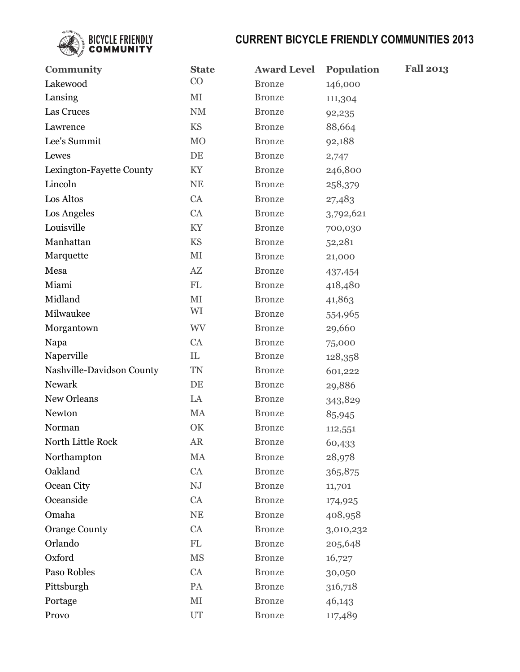

| <b>Community</b>          | <b>State</b>               | <b>Award Level</b> | <b>Population</b> | <b>Fall 2013</b> |
|---------------------------|----------------------------|--------------------|-------------------|------------------|
| Lakewood                  | CO                         | <b>Bronze</b>      | 146,000           |                  |
| Lansing                   | MI                         | <b>Bronze</b>      | 111,304           |                  |
| Las Cruces                | $\mathrm{NM}$              | <b>Bronze</b>      | 92,235            |                  |
| Lawrence                  | <b>KS</b>                  | <b>Bronze</b>      | 88,664            |                  |
| Lee's Summit              | <b>MO</b>                  | <b>Bronze</b>      | 92,188            |                  |
| Lewes                     | DE                         | <b>Bronze</b>      | 2,747             |                  |
| Lexington-Fayette County  | KY                         | <b>Bronze</b>      | 246,800           |                  |
| Lincoln                   | NE                         | <b>Bronze</b>      | 258,379           |                  |
| Los Altos                 | CA                         | <b>Bronze</b>      | 27,483            |                  |
| Los Angeles               | CA                         | <b>Bronze</b>      | 3,792,621         |                  |
| Louisville                | KY                         | <b>Bronze</b>      | 700,030           |                  |
| Manhattan                 | <b>KS</b>                  | <b>Bronze</b>      | 52,281            |                  |
| Marquette                 | MI                         | <b>Bronze</b>      | 21,000            |                  |
| Mesa                      | $\mathbf{A}\mathbf{Z}$     | <b>Bronze</b>      | 437,454           |                  |
| Miami                     | $\mathop{\rm FL}\nolimits$ | <b>Bronze</b>      | 418,480           |                  |
| Midland                   | $\rm MI$                   | <b>Bronze</b>      | 41,863            |                  |
| Milwaukee                 | WI                         | <b>Bronze</b>      | 554,965           |                  |
| Morgantown                | <b>WV</b>                  | <b>Bronze</b>      | 29,660            |                  |
| Napa                      | CA                         | <b>Bronze</b>      | 75,000            |                  |
| Naperville                | IL                         | <b>Bronze</b>      | 128,358           |                  |
| Nashville-Davidson County | <b>TN</b>                  | <b>Bronze</b>      | 601,222           |                  |
| Newark                    | DE                         | <b>Bronze</b>      | 29,886            |                  |
| New Orleans               | LA                         | <b>Bronze</b>      | 343,829           |                  |
| Newton                    | MA                         | <b>Bronze</b>      | 85,945            |                  |
| Norman                    | OK                         | <b>Bronze</b>      | 112,551           |                  |
| North Little Rock         | <b>AR</b>                  | <b>Bronze</b>      | 60,433            |                  |
| Northampton               | MA                         | <b>Bronze</b>      | 28,978            |                  |
| Oakland                   | CA                         | <b>Bronze</b>      | 365,875           |                  |
| Ocean City                | ${\rm N J}$                | <b>Bronze</b>      | 11,701            |                  |
| Oceanside                 | CA                         | <b>Bronze</b>      | 174,925           |                  |
| Omaha                     | $\rm NE$                   | <b>Bronze</b>      | 408,958           |                  |
| <b>Orange County</b>      | CA                         | <b>Bronze</b>      | 3,010,232         |                  |
| Orlando                   | ${\rm FL}$                 | <b>Bronze</b>      | 205,648           |                  |
| Oxford                    | <b>MS</b>                  | <b>Bronze</b>      | 16,727            |                  |
| Paso Robles               | CA                         | <b>Bronze</b>      | 30,050            |                  |
| Pittsburgh                | PA                         | <b>Bronze</b>      | 316,718           |                  |
| Portage                   | $\rm MI$                   | <b>Bronze</b>      | 46,143            |                  |
| Provo                     | UT                         | <b>Bronze</b>      | 117,489           |                  |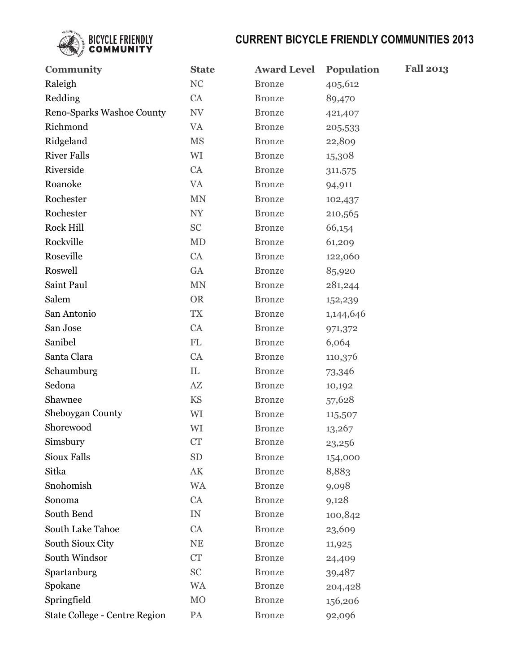

| <b>Community</b>              | <b>State</b>             | <b>Award Level</b> | <b>Population</b> | <b>Fall 2013</b> |
|-------------------------------|--------------------------|--------------------|-------------------|------------------|
| Raleigh                       | NC                       | <b>Bronze</b>      | 405,612           |                  |
| Redding                       | CA                       | <b>Bronze</b>      | 89,470            |                  |
| Reno-Sparks Washoe County     | $\ensuremath{\text{NV}}$ | <b>Bronze</b>      | 421,407           |                  |
| Richmond                      | <b>VA</b>                | <b>Bronze</b>      | 205,533           |                  |
| Ridgeland                     | <b>MS</b>                | <b>Bronze</b>      | 22,809            |                  |
| <b>River Falls</b>            | WI                       | <b>Bronze</b>      | 15,308            |                  |
| Riverside                     | CA                       | <b>Bronze</b>      | 311,575           |                  |
| Roanoke                       | <b>VA</b>                | <b>Bronze</b>      | 94,911            |                  |
| Rochester                     | MN                       | <b>Bronze</b>      | 102,437           |                  |
| Rochester                     | $\ensuremath{\text{NY}}$ | <b>Bronze</b>      | 210,565           |                  |
| Rock Hill                     | <b>SC</b>                | <b>Bronze</b>      | 66,154            |                  |
| Rockville                     | MD                       | <b>Bronze</b>      | 61,209            |                  |
| Roseville                     | CA                       | <b>Bronze</b>      | 122,060           |                  |
| Roswell                       | GA                       | <b>Bronze</b>      | 85,920            |                  |
| Saint Paul                    | <b>MN</b>                | <b>Bronze</b>      | 281,244           |                  |
| Salem                         | <b>OR</b>                | <b>Bronze</b>      | 152,239           |                  |
| San Antonio                   | <b>TX</b>                | <b>Bronze</b>      | 1,144,646         |                  |
| San Jose                      | CA                       | <b>Bronze</b>      | 971,372           |                  |
| Sanibel                       | $\mathbf{FL}$            | <b>Bronze</b>      | 6,064             |                  |
| Santa Clara                   | CA                       | <b>Bronze</b>      | 110,376           |                  |
| Schaumburg                    | IL                       | <b>Bronze</b>      | 73,346            |                  |
| Sedona                        | AZ                       | <b>Bronze</b>      | 10,192            |                  |
| Shawnee                       | <b>KS</b>                | <b>Bronze</b>      | 57,628            |                  |
| Sheboygan County              | WI                       | <b>Bronze</b>      | 115,507           |                  |
| Shorewood                     | WI                       | <b>Bronze</b>      | 13,267            |                  |
| Simsbury                      | CT                       | <b>Bronze</b>      | 23,256            |                  |
| Sioux Falls                   | <b>SD</b>                | <b>Bronze</b>      | 154,000           |                  |
| Sitka                         | $\mathbf{A}\mathbf{K}$   | <b>Bronze</b>      | 8,883             |                  |
| Snohomish                     | <b>WA</b>                | <b>Bronze</b>      | 9,098             |                  |
| Sonoma                        | CA                       | <b>Bronze</b>      | 9,128             |                  |
| South Bend                    | ${\rm IN}$               | <b>Bronze</b>      | 100,842           |                  |
| South Lake Tahoe              | CA                       | <b>Bronze</b>      | 23,609            |                  |
| South Sioux City              | $\rm NE$                 | <b>Bronze</b>      | 11,925            |                  |
| South Windsor                 | CT                       | <b>Bronze</b>      | 24,409            |                  |
| Spartanburg                   | <b>SC</b>                | <b>Bronze</b>      | 39,487            |                  |
| Spokane                       | <b>WA</b>                | <b>Bronze</b>      | 204,428           |                  |
| Springfield                   | M <sub>O</sub>           | <b>Bronze</b>      | 156,206           |                  |
| State College - Centre Region | PA                       | <b>Bronze</b>      | 92,096            |                  |